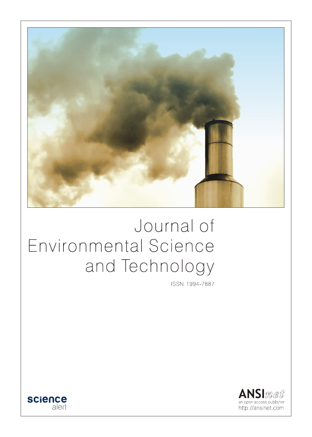

# Journal of Environmental Science and Technology

ISSN 1994-7887



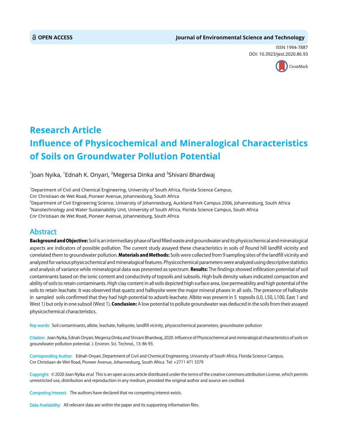# **OPEN ACCESS Journal of Environmental Science and Technology**

ISSN 1994-7887 DOI: 10.3923/jest.2020.86.93



# **Research Article Influence of Physicochemical and Mineralogical Characteristics of Soils on Groundwater Pollution Potential**

 $^1$ Joan Nyika,  $^1$ Ednah K. Onyari,  $^2$ Megersa Dinka and  $^3$ Shivani Bhardwaj

1 Department of Civil and Chemical Engineering, University of South Africa, Florida Science Campus, Cnr Christiaan de Wet Road, Pioneer Avenue, Johannesburg, South Africa 2 Department of Civil Engineering Science, University of Johannesburg, Auckland Park Campus 2006, Johannesburg, South Africa <sup>3</sup>Nanotechnology and Water Sustainability Unit, University of South Africa, Florida Science Campus, South Africa Cnr Christiaan de Wet Road, Pioneer Avenue, Johannesburg, South Africa

# Abstract

Background and Objective: Soil is an intermediary phase of land filled waste and groundwater and its physicochemical and mineralogical aspects are indicators of possible pollution. The current study assayed these characteristics in soils of Round hill landfill vicinity and correlated them to groundwater pollution. Materials and Methods: Soils were collected from 9 sampling sites of the landfill vicinity and analyzed for various physicochemical and mineralogical features. Physicochemical parameters were analyzed using descriptive statistics and analysis of variance while mineralogical data was presented as spectrum. Results: The findings showed infiltration potential of soil contaminants based on the ionic content and conductivity of topsoils and subsoils. High bulk density values indicated compaction and ability of soils to retain contaminants. High clay content in all soils depicted high surface area, low permeability and high potential of the soils to retain leachate. It was observed that quartz and halloysite were the major mineral phases in all soils. The presence of halloysite in sampled soils confirmed that they had high potential to adsorb leachate. Albite was present in 5 topsoils (L0, L50, L100, East 1 and West 1) but only in one subsoil (West 1). Conclusion: A low potential to pollute groundwater was deduced in the soils from their assayed physicochemical characteristics.

Key words: Soil contaminants, albite, leachate, halloysite, landfill vicinity, physicochemical parameters, groundwater pollution

Citation: Joan Nyika, Ednah Onyari, Megersa Dinka and Shivani Bhardwaj, 2020. Influence of Physicochemical and mineralogical characteristics of soils on groundwater pollution potential. J. Environ. Sci. Technol., 13: 86-93.

Corresponding Author: Ednah Onyari, Department of Civil and Chemical Engineering, University of South Africa, Florida Science Campus, Cnr Christiaan de Wet Road, Pioneer Avenue, Johannesburg, South Africa Tel: +2711 471 3379

Copyright: © 2020 Joan Nyika et al. This is an open access article distributed under the terms of the creative commons attribution License, which permits unrestricted use, distribution and reproduction in any medium, provided the original author and source are credited.

Competing Interest: The authors have declared that no competing interest exists.

Data Availability: All relevant data are within the paper and its supporting information files.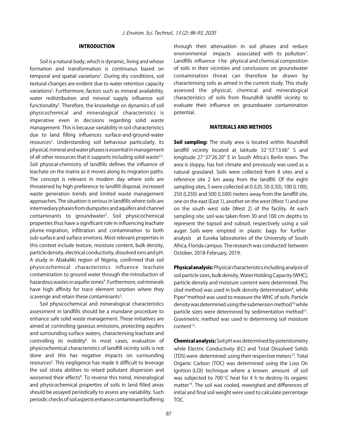# INTRODUCTION

Soil is a natural body, which is dynamic, living and whose formation and transformation is continuous based on temporal and spatial variations<sup>1</sup>. During dry conditions, soil textural changes are evident due to water retention capacity variations<sup>2</sup>. Furthermore, factors such as mineral availability, water redistribution and mineral supply influence soil functionality<sup>3</sup>. Therefore, the knowledge on dynamics of soil physicochemical and mineralogical characteristics is imperative even in decisions regarding solid waste management. This is because variability in soil characteristics due to land filling influences surface-and-ground-water resources<sup>1</sup>. Understanding soil behaviour particularly, its physical, mineral and water phases is essential in management of all other resources that it supports including solid waste<sup>2,3</sup>. Soil physical-chemistry of landfills defines the influence of leachate on the matrix as it moves along its migration paths. The concept is relevant in modern day where soils are threatened by high preference to landfill disposal, increased waste generation trends and limited waste management approaches. The situation is serious in landfills where soils are intermediary phases from dumpsites and aquifers and channel contaminants to groundwater<sup>3</sup>. Soil physicochemical properties thus have a significant role in influencing leachate plume migration, infiltration and contamination to both sub-surface and surface environs. Most relevant properties in this context include texture, moisture content, bulk density, particle density, electrical conductivity, dissolved ions and pH. A study in Abakaliki region of Nigeria, confirmed that soil physicochemical characteristics influence leachate contamination to ground water through the introduction of hazardous wastes in aquifer zones<sup>4</sup>. Furthermore, soil minerals have high affinity for trace element sorption where they scavenge and retain these contaminants $5$ .

Soil physicochemical and mineralogical characteristics assessment in landfills should be a mundane procedure to enhance safe solid waste management. These initiatives are aimed at controlling gaseous emissions, protecting aquifers and surrounding surface waters, characterising leachate and controlling its mobility<sup>6</sup>. In most cases, evaluation of physicochemical characteristics of landfill vicinity soils is not done and this has negative impacts on surrounding resources<sup>3</sup>. This negligence has made it difficult to leverage the soil strata abilities to retard pollutant dispersion and worsened their effects<sup>6</sup>. To reverse this trend, mineralogical and physicochemical properties of soils in land filled areas should be assayed periodically to assess any variability. Such periodic checks of soil aspects enhance contaminant buffering

through their attenuation in soil phases and reduce environmental impacts associated with its pollution<sup>7</sup>. Landfills influence t he physical and chemical composition of soils in their vicinities and conclusions on groundwater contamination threat can therefore be drawn by characterising soils as aimed in the current study. This study assessed the physical, chemical and mineralogical characteristics of soils from Roundhill landfill vicinity to evaluate their influence on groundwater contamination potential.

## MATERIALS AND METHODS

Soil sampling: The study area is located within Roundhill landfill vicinity located at latitude 32°53'13.66" S and longitude 27°37'26.20" E in South Africa's Berlin town. The area is sloppy, has hot climate and previously was used as a natural grassland. Soils were collected from 8 sites and a reference site 2 km away from the landfill. Of the eight sampling sites, 5 were collected at 0 (L0), 50 (L50), 100 (L100), 250 (L250) and 500 (L500) meters away from the landfill site, one on the east (East 1), another on the west (West 1) and one on the south west side (West 2) of the facility. At each sampling site, soil was taken from 30 and 100 cm depths to represent the topsoil and subsoil, respectively using a soil auger. Soils were emptied in plastic bags for further analysis at Eureka laboratories of the University of South Africa, Florida campus. The research was conducted between October, 2018-February, 2019.

Physical analysis: Physical characteristics including analysis of soil particle sizes, bulk density, Water Holding Capacity (WHC), particle density and moisture content were determined. The clod method was used in bulk density determination<sup>8</sup>, while Piper<sup>9</sup> method was used to measure the WHC of soils. Particle density was determined using the submersion method<sup>10</sup> while particle sizes were determined by sedimentation method<sup>11</sup>. Gravimetric method was used in determining soil moisture content $12$ .

Chemical analysis: Soil pH was determined by potentiometry while Electric Conductivity (EC) and Total Dissolved Solids (TDS) were determined using their respective meters $13$ . Total Organic Carbon (TOC) was determined using the Loss On Ignition (LOI) technique where a known amount of soil was subjected to  $700^{\circ}$ C heat for 4 h to destroy its organic matter14. The soil was cooled, reweighed and differences of initial and final soil weight were used to calculate percentage TOC.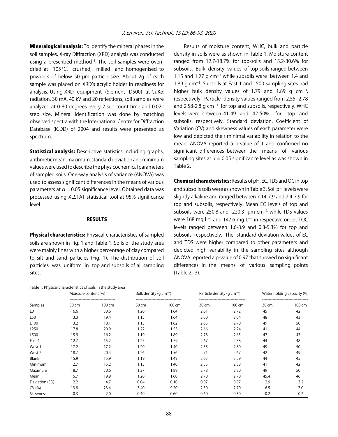Mineralogical analysis: To identify the mineral phases in the soil samples, X-ray Diffraction (XRD) analysis was conducted using a prescribed method<sup>15</sup>. The soil samples were ovendried at  $105^{\circ}$ C, crushed, milled and homogenised to powders of below 50 µm particle size. About 2g of each sample was placed on XRD's acrylic holder in readiness for analysis. Using XRD equipment (Siemens D500) at CuK $\alpha$ radiation, 30 mA, 40 kV and 20 reflections, soil samples were analyzed at 0-80 degrees every 2 sec count time and  $0.02^{\circ}$ step size. Mineral identification was done by matching observed spectra with the International Centre for Diffraction Database (ICDD) of 2004 and results were presented as spectrum.

**Statistical analysis:** Descriptive statistics including graphs, arithmetic mean, maximum, standard deviation and minimum values were used to describe the physicochemical parameters of sampled soils. One-way analysis of variance (ANOVA) was used to assess significant differences in the means of various parameters at  $\alpha = 0.05$  significance level. Obtained data was processed using XLSTAT statistical tool at 95% significance level.

## **RESULTS**

**Physical characteristics:** Physical characteristics of sampled soils are shown in Fig. 1 and Table 1. Soils of the study area were mainly fines with a higher percentage of clay compared to silt and sand particles (Fig. 1). The distribution of soil particles was uniform in top and subsoils of all sampling sites.

Table 1: Physical characteristics of soils in the study area

Results of moisture content, WHC, bulk and particle density in soils were as shown in Table 1. Moisture content ranged from 12.7-18.7% for top-soils and 15.2-30.6% for subsoils. Bulk density values of top-soils ranged between 1.15 and 1.27 g  $cm^{-3}$  while subsoils were between 1.4 and  $1.89$  g cm<sup>-3</sup>. Subsoils at East 1 and L500 sampling sites had higher bulk density values of 1.79 and 1.89 g  $cm^{-3}$ , respectively. Particle density values ranged from 2.55- 2.78 and 2.58-2.8 g cm<sup>-3</sup> for top and subsoils, respectively. WHC levels were between 41-49 and 42-50% for top and subsoils, respectively. Standard deviation, Coefficient of Variation (CV) and skewness values of each parameter were low and depicted their minimal variability in relation to the mean. ANOVA reported a p-value of 1 and confirmed no significant differences between the means of various sampling sites at  $\alpha = 0.05$  significance level as was shown in Table 2.

Chemical characteristics: Results of pH, EC, TDS and OC in top and subsoils soils were as shown in Table 3. Soil pH levels were slightly alkaline and ranged between 7.14-7.9 and 7.4-7.9 for top and subsoils, respectively. Mean EC levels of top and subsoils were 250.8 and 220.3  $\mu$ m cm<sup>-3</sup> while TDS values were 168 mg L<sup>-3</sup> and 147.6 mg L<sup>-3</sup> in respective order. TOC levels ranged between 1.6-8.9 and 0.8-5.3% for top and subsoils, respectively. The standard deviation values of EC and TDS were higher compared to other parameters and depicted high variability in the sampling sites although ANOVA reported a p-value of 0.97 that showed no significant differences in the means of various sampling points (Table 2, 3).

|                  | Moisture content (%) |        | Bulk density (q $cm^{-3}$ ) |        | Particle density (q $cm^{-3}$ ) |        | Water holding capacity (%) |        |
|------------------|----------------------|--------|-----------------------------|--------|---------------------------------|--------|----------------------------|--------|
| Samples          | 30 cm                | 100 cm | 30 cm                       | 100 cm | 30 cm                           | 100 cm | 30 cm                      | 100 cm |
| L <sub>0</sub>   | 16.6                 | 30.6   | 1.20                        | 1.64   | 2.61                            | 2.72   | 45                         | 42     |
| L50              | 13.3                 | 19.4   | 1.15                        | 1.64   | 2.60                            | 2.64   | 48                         | 43     |
| L <sub>100</sub> | 13.2                 | 18.1   | 1.15                        | 1.62   | 2.65                            | 2.70   | 49                         | 50     |
| L250             | 17.8                 | 20.9   | 1.22                        | 1.53   | 2.66                            | 2.74   | 41                         | 44     |
| L500             | 15.9                 | 16.2   | 1.19                        | 1.89   | 2.78                            | 2.65   | 47                         | 43     |
| East 1           | 12.7                 | 15.2   | 1.27                        | 1.79   | 2.67                            | 2.58   | 44                         | 48     |
| West 1           | 17.2                 | 17.2   | 1.20                        | 1.40   | 2.55                            | 2.80   | 49                         | 50     |
| West 2           | 18.7                 | 20.4   | 1.26                        | 1.56   | 2.71                            | 2.67   | 42                         | 49     |
| Blank            | 15.9                 | 15.9   | 1.19                        | 1.49   | 2.63                            | 2.59   | 44                         | 45     |
| Minimum          | 12.7                 | 15.2   | 1.15                        | 1.40   | 2.55                            | 2.58   | 41                         | 42     |
| Maximum          | 18.7                 | 30.6   | 1.27                        | 1.89   | 2.78                            | 2.80   | 49                         | 50     |
| Mean             | 15.7                 | 19.9   | 1.20                        | 1.60   | 2.70                            | 2.70   | 45.4                       | 46     |
| Deviation (SD)   | 2.2                  | 4.7    | 0.04                        | 0.10   | 0.07                            | 0.07   | 2.9                        | 3.2    |
| CV(% )           | 13.8                 | 23.4   | 3.40                        | 9.20   | 2.50                            | 2.70   | 6.5                        | 7.0    |
| Skewness         | $-0.3$               | 2.0    | 0.40                        | 0.60   | 0.60                            | 0.30   | $-0.2$                     | 0.2    |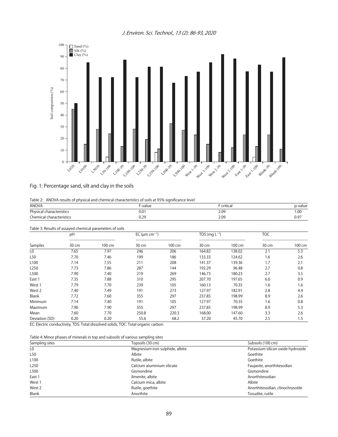J. Environ. Sci. Technol., 13 (2): 86-93, 2020



# Fig. 1: Percentage sand, silt and clay in the soils

|  |  |  |  |  |  |  |  |  | Table 2: ANOVA results of physical and chemical characteristics of soils at 95% significance level |  |
|--|--|--|--|--|--|--|--|--|----------------------------------------------------------------------------------------------------|--|
|--|--|--|--|--|--|--|--|--|----------------------------------------------------------------------------------------------------|--|

| <b>ANOVA</b>             | F-value | critical | p-value |
|--------------------------|---------|----------|---------|
| Physical characteristics | 0.01    | 2.09     | 00.1    |
| Chemical characteristics | 0.29    | 2.09     | 0.97    |
|                          |         |          |         |

Table 3: Results of assayed chemical parameters of soils

|                  | pH    |                                                 | EC ( $\mu$ m cm <sup>-1</sup> ) |                                                | TDS (mg $L^{-1}$ ) |                                                | <b>TOC</b> |        |
|------------------|-------|-------------------------------------------------|---------------------------------|------------------------------------------------|--------------------|------------------------------------------------|------------|--------|
| Samples          | 30 cm | -------------------------------------<br>100 cm | 30 cm                           | ------------------------------------<br>100 cm | 30 cm              | ------------------------------------<br>100 cm | 30 cm      | 100 cm |
| L0               | 7.65  | 7.97                                            | 246                             | 206                                            | 164.82             | 138.02                                         | 2.1        | 5.3    |
| L <sub>50</sub>  | 7.70  | 7.46                                            | 199                             | 186                                            | 133.33             | 124.62                                         | 1.6        | 2.6    |
| L100             | 7.14  | 7.55                                            | 211                             | 208                                            | 141.37             | 139.36                                         | 1.7        | 2.1    |
| L <sub>250</sub> | 7.73  | 7.86                                            | 287                             | 144                                            | 192.29             | 96.48                                          | 2.7        | 0.8    |
| L500             | 7.90  | 7.40                                            | 219                             | 269                                            | 146.73             | 180.23                                         | 2.7        | 3.5    |
| East 1           | 7.35  | 7.88                                            | 310                             | 295                                            | 207.70             | 197.65                                         | 6.0        | 0.9    |
| West 1           | 7.79  | 7.70                                            | 239                             | 105                                            | 160.13             | 70.35                                          | 1.6        | 1.6    |
| West 2           | 7.40  | 7.49                                            | 191                             | 273                                            | 127.97             | 182.91                                         | 2.8        | 4.4    |
| Blank            | 7.72  | 7.60                                            | 355                             | 297                                            | 237.85             | 198.99                                         | 8.9        | 2.6    |
| Minimum          | 7.14  | 7.40                                            | 191                             | 105                                            | 127.97             | 70.35                                          | 1.6        | 0.8    |
| Maximum          | 7.90  | 7.90                                            | 355                             | 297                                            | 237.85             | 198.99                                         | 8.9        | 5.3    |
| Mean             | 7.60  | 7.70                                            | 250.8                           | 220.3                                          | 168.00             | 147.60                                         | 3.3        | 2.6    |
| Deviation (SD)   | 0.20  | 0.20                                            | 55.6                            | 68.2                                           | 37.20              | 45.70                                          | 2.5        | 1.5    |

EC: Electric conductivity, TDS: Total dissolved solids, TOC: Total organic carbon

| Sampling sites   | Topsoils (30 cm)                | Subsoils (100 cm)                 |
|------------------|---------------------------------|-----------------------------------|
| LO.              | Magnesium iron sulphide, albite | Potassium silicon oxide hydroxide |
| L50              | Albite                          | Goethite                          |
| L <sub>100</sub> | Rutile, albite                  | Goethite                          |
| L250             | Calcium aluminium silicate      | Faujasite, anorthitesodian        |
| L500             | Gismondine                      | Gismondine                        |
| East 1           | Ilmenite, albite                | Anorthitesodian                   |
| West 1           | Calcium mica, albite            | Albite                            |
| West 2           | Rutile, goethite                | Anorthitesodian, clinochrysotile  |
| Blank            | Anorthite                       | Tosudite, rutile                  |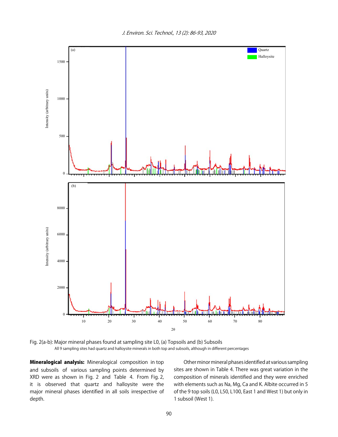J. Environ. Sci. Technol., 13 (2): 86-93, 2020



Fig. 2(a-b): Major mineral phases found at sampling site L0, (a) Topsoils and (b) Subsoils All 9 sampling sites had quartz and halloysite minerals in both top and subsoils, although in different percentages

**Mineralogical analysis:** Mineralogical composition in top and subsoils of various sampling points determined by XRD were as shown in Fig. 2 and Table 4. From Fig. 2, it is observed that quartz and halloysite were the major mineral phases identified in all soils irrespective of depth.

Other minor mineral phases identified at various sampling sites are shown in Table 4. There was great variation in the composition of minerals identified and they were enriched with elements such as Na, Mg, Ca and K. Albite occurred in 5 of the 9 top soils (L0, L50, L100, East 1 and West 1) but only in 1 subsoil (West 1).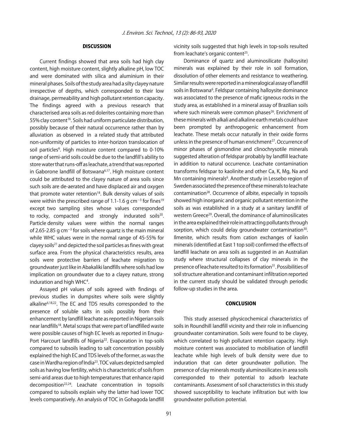# DISCUSSION

Current findings showed that area soils had high clay content, high moisture content, slightly alkaline pH, low TOC and were dominated with silica and aluminium in their mineral phases. Soils of the study area had a silty clayey nature irrespective of depths, which corresponded to their low drainage, permeability and high pollutant retention capacity. The findings agreed with a previous research that characterised area soils as red dolerites containing more than 55% clay content<sup>16</sup>. Soils had uniform particulate distribution, possibly because of their natural occurrence rather than by alluviation as observed in a related study that attributed non-uniformity of particles to inter-horizon translocation of soil particles<sup>6</sup>. High moisture content compared to 0-10% range of semi-arid soils could be due to the landfill's ability to store water that runs-off as leachate, a trend that was reported in Gaborone landfill of Botswana<sup>6,17</sup>. High moisture content could be attributed to the clayey nature of area soils since such soils are de-aerated and have displaced air and oxygen that promote water retention<sup>18</sup>. Bulk density values of soils were within the prescribed range of 1.1-1.6 g cm $^{-3}$  for fines $^{19}$ except two sampling sites whose values corresponded to rocky, compacted and strongly indurated soils<sup>20</sup>. Particle density values were within the normal ranges of 2.65-2.85 g cm<sup>-3</sup> for soils where quartz is the main mineral while WHC values were in the normal range of 45-55% for clayey soils<sup>21</sup> and depicted the soil particles as fines with great surface area. From the physical characteristics results, area soils were protective barriers of leachate migration to groundwater just like in Abakaliki landfills where soils had low implication on groundwater due to a clayey nature, strong induration and high WHC<sup>4</sup>.

Assayed pH values of soils agreed with findings of previous studies in dumpsites where soils were slightly alkaline6,18,22. The EC and TDS results corresponded to the presence of soluble salts in soils possibly from their enhancement by landfill leachate as reported in Nigerian soils near landfills<sup>18</sup>. Metal scraps that were part of landfilled waste were possible causes of high EC levels as reported in Enugu-Port Harcourt landfills of Nigeria<sup>22</sup>. Evaporation in top-soils compared to subsoils leading to salt concentration possibly explained the high EC and TDS levels of the former, as was the case in Wardha region of India23. TOC values depicted sampled soils as having low fertility, which is characteristic of soils from semi-arid areas due to high temperatures that enhance rapid decomposition22,24. Leachate concentration in topsoils compared to subsoils explain why the latter had lower TOC levels comparatively. An analysis of TOC in Gohagoda landfill

vicinity soils suggested that high levels in top-soils resulted from leachate's organic content<sup>25</sup>.

Dominance of quartz and aluminosilicate (halloysite) minerals was explained by their role in soil formation, dissolution of other elements and resistance to weathering. Similar results were reported in a mineralogical assay of landfill soils in Botswana<sup>6</sup>. Feldspar containing halloysite dominance was associated to the presence of mafic igneous rocks in the study area, as established in a mineral assay of Brazilian soils where such minerals were common phases<sup>26</sup>. Enrichment of these minerals with alkali and alkaline earth metals could have been prompted by anthropogenic enhancement from leachate. These metals occur naturally in their oxide forms unless in the presence of human enrichment<sup>27</sup>. Occurrence of minor phases of gismondine and clinochrysotile minerals suggested alteration of feldspar probably by landfill leachate in addition to natural occurrence. Leachate contamination transforms feldspar to kaolinite and other Ca, K, Mg, Na and Mn containing minerals<sup>6</sup>. Another study in Lessebo region of Sweden associated the presence of these minerals to leachate contamination<sup>28</sup>. Occurrence of albite, especially in topsoils showed high inorganic and organic pollutant retention in the soils as was established in a study at a sanitary landfill of western Greece<sup>29</sup>. Overall, the dominance of aluminosilicates in the area explained their role in attracting pollutants through sorption, which could delay groundwater contamination<sup>30</sup>. Ilmenite, which results from cation exchanges of kaolin minerals (identified at East 1 top soil) confirmed the effects of landfill leachate on area soils as suggested in an Australian study where structural collapses of clay minerals in the presence of leachate resulted to its formation<sup>31</sup>. Possibilities of soil structure alteration and contaminant infiltration reported in the current study should be validated through periodic follow-up studies in the area.

# **CONCLUSION**

This study assessed physicochemical characteristics of soils in Roundhill landfill vicinity and their role in influencing groundwater contamination. Soils were found to be clayey, which correlated to high pollutant retention capacity. High moisture content was associated to mobilisation of landfill leachate while high levels of bulk density were due to induration that can deter groundwater pollution. The presence of clay minerals mostly aluminosilicates in area soils corresponded to their potential to adsorb leachate contaminants. Assessment of soil characteristics in this study showed susceptibility to leachate infiltration but with low groundwater pollution potential.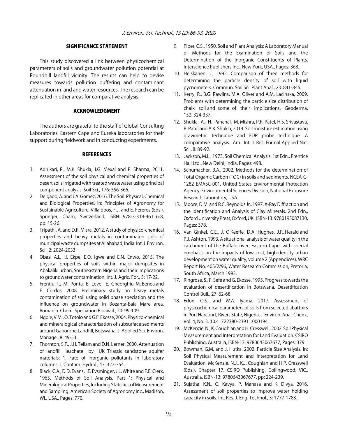#### SIGNIFICANCE STATEMENT

This study discovered a link between physicochemical parameters of soils and groundwater pollution potential at Roundhill landfill vicinity. The results can help to devise measures towards pollution buffering and contaminant attenuation in land and water resources. The research can be replicated in other areas for comparative analysis.

# ACKNOWLEDGMENT

The authors are grateful to the staff of Global Consulting Laboratories, Eastern Cape and Eureka laboratories for their support during fieldwork and in conducting experiments.

# **REFERENCES**

- 1. Adhikari, P., M.K. Shukla, J.G. Mexal and P. Sharma, 2011. Assessment of the soil physical and chemical properties of desert soils irrigated with treated wastewater using principal component analysis. Soil Sci., 176: 356-366.
- 2. Delgado, A. and J.A. Gomez, 2016. The Soil. Physical, Chemical and Biological Properties. In: Principles of Agronomy for Sustainable Agriculture, Villalobos, F.J. and E. Fereres (Eds.). Springer, Cham, Switzerland, ISBN: 978-3-319-46116-8, pp: 15-26.
- 3. Tripathi, A. and D.R. Misra, 2012. A study of physico-chemical properties and heavy metals in contaminated soils of municipal waste dumpsites at Allahabad, India. Int. J. Environ. Sci., 2: 2024-2033.
- 4. Obasi A.I., I.I. Ekpe, E.O. Igwe and E.N. Enwo, 2015. The physical properties of soils within major dumpsites in Abakaliki urban, Southeastern Nigeria and their implications to groundwater contamination. Int. J. Agric. For., 5: 17-22.
- 5. Frentiu, T., M. Ponta, E. Levei, E. Gheorghiu, M. Benea and E. Cordos, 2008. Preliminary study on heavy metals contamination of soil using solid phase speciation and the influence on groundwater in Bozanta-Baia Mare area, Romania. Chem. Speciation Bioavail., 20: 99-109.
- 6. Ngole, V.M., O. Totolo and G.E. Ekosse, 2004. Physico-chemical and mineralogical characterisation of subsurface sediments around Gaborone Landfill, Botswana. J. Applied Sci. Environ. Manage., 8: 49-53.
- 7. Thornton, S.F., J.H. Tellam and D.N. Lerner, 2000. Attenuation of landfill leachate by UK Triassic sandstone aquifer materials: 1. Fate of inorganic pollutants in laboratory columns. J. Contam. Hydrol., 43: 327-354.
- 8. Black, C.A., D.D. Evans, I.E. Evsminger, J.L. White and F.E. Clerk, 1965. Methods of Soil Analysis, Part 1: Physical and Mineralogical Properties, Including Statistics of Measurement and Sampling. American Society of Agronomy Inc., Madison, WI., USA., Pages: 770.
- 9. Piper, C.S., 1950. Soil and Plant Analysis: A Laboratory Manual of Methods for the Examination of Soils and the Determination of the Inorganic Constituents of Plants. Interscience Publishers Inc., New York, USA., Pages: 368.
- 10. Heiskanen, J., 1992. Comparison of three methods for determining the particle density of soil with liquid pycnometers. Commun. Soil Sci. Plant Anal., 23: 841-846.
- 11. Kerry, R., B.G. Rawlins, M.A. Oliver and A.M. Lacinska, 2009. Problems with determining the particle size distribution of chalk soil and some of their implications. Geoderma, 152: 324-337.
- 12. Shukla, A., H. Panchal, M. Mishra, P.R. Patel, H.S. Srivastava, P. Patel and A.K. Shukla, 2014. Soil moisture estimation using gravimetric technique and FDR probe technique: A comparative analysis. Am. Int. J. Res. Formal Applied Nat. Sci., 8: 89-92.
- 13. Jackson, M.L., 1973. Soil Chemical Analysis. 1st Edn., Prentice Hall Ltd., New Delhi, India, Pages: 498.
- 14. Schumacher, B.A., 2002. Methods for the determination of Total Organic Carbon (TOC) in soils and sediments. NCEA-C-1282 EMASC-001, United States Environmental Protection Agency, Environmental Sciences Division, National Exposure Research Laboratory, USA.
- 15. Moore, D.M. and R.C. Reynolds Jr., 1997. X-Ray Diffraction and the Identification and Analysis of Clay Minerals. 2nd Edn., Oxford University Press, Oxford, UK., ISBN-13: 9780195087130, Pages: 378.
- 16. Van Ginkel, C.E., J. O'Keeffe, D.A. Hughes, J.R. Herald and P.J. Ashton, 1993. A situational analysis of water quality in the catchment of the Buffalo river, Eastern Cape, with special emphasis on the impacts of low cost, high-density urban development on water quality, volume 2 (Appendices). WRC Report No. 40S/2/96, Water Research Commission, Pretoria, South Africa, March 1993.
- 17. Ringrose, S., F. Sefe and G. Ekosse, 1995. Progress towards the evaluation of desertification in Botswana. Desertification Control Bull., 27: 62-68.
- 18. Edori, O.S. and W.A. Iyama, 2017. Assessment of physicochemical parameters of soils from selected abattoirs in Port Harcourt, Rivers State, Nigeria. J. Environ. Anal. Chem., Vol. 4, No. 3. 10.41722380-2391.1000194.
- 19. McKenzie, N., K. Coughlan and H. Cresswell, 2002. Soil Physical Measurement and Interpretation for Land Evaluation. CSIRO Publishing, Australia, ISBN-13: 9780643067677, Pages: 379.
- 20. Bowman, G.M. and J. Hutka, 2002. Particle Size Analysis. In: Soil Physical Measurement and Interpretation for Land Evaluation, McKenzie, N.J., K.J. Coughlan and H.P. Cresswell (Eds.). Chapter 17, CSIRO Publishing, Collingwood, VIC., Australia, ISBN-13: 9780643067677, pp: 224-239.
- 21. Sujatha, K.N., G. Kavya, P. Manasa and K. Divya, 2016. Assessment of soil properties to improve water holding capacity in soils. Int. Res. J. Eng. Technol., 3: 1777-1783.